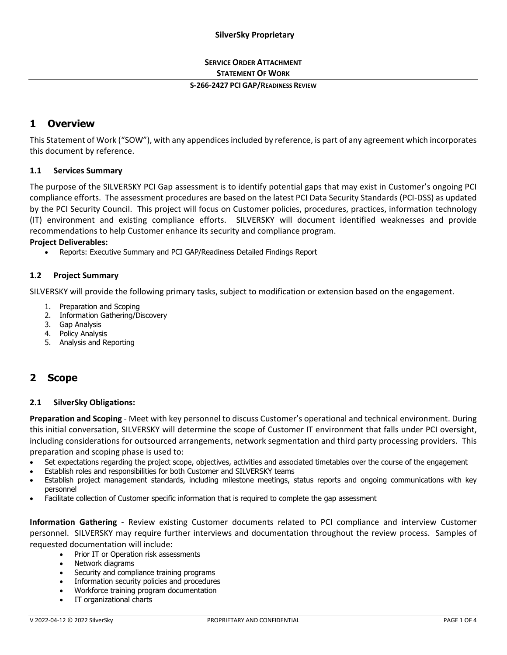## **SERVICE ORDER ATTACHMENT STATEMENT OF WORK**

#### **S-266-2427 PCI GAP/READINESS REVIEW**

# **1 Overview**

This Statement of Work ("SOW"), with any appendices included by reference, is part of any agreement which incorporates this document by reference.

## **1.1 Services Summary**

The purpose of the SILVERSKY PCI Gap assessment is to identify potential gaps that may exist in Customer's ongoing PCI compliance efforts. The assessment procedures are based on the latest PCI Data Security Standards (PCI-DSS) as updated by the PCI Security Council. This project will focus on Customer policies, procedures, practices, information technology (IT) environment and existing compliance efforts. SILVERSKY will document identified weaknesses and provide recommendations to help Customer enhance its security and compliance program.

### **Project Deliverables:**

• Reports: Executive Summary and PCI GAP/Readiness Detailed Findings Report

## **1.2 Project Summary**

SILVERSKY will provide the following primary tasks, subject to modification or extension based on the engagement.

- 1. Preparation and Scoping
- 2. Information Gathering/Discovery
- 3. Gap Analysis
- 4. Policy Analysis
- 5. Analysis and Reporting

# **2 Scope**

## **2.1 SilverSky Obligations:**

**Preparation and Scoping** - Meet with key personnel to discuss Customer's operational and technical environment. During this initial conversation, SILVERSKY will determine the scope of Customer IT environment that falls under PCI oversight, including considerations for outsourced arrangements, network segmentation and third party processing providers. This preparation and scoping phase is used to:

- Set expectations regarding the project scope, objectives, activities and associated timetables over the course of the engagement
- Establish roles and responsibilities for both Customer and SILVERSKY teams
- Establish project management standards, including milestone meetings, status reports and ongoing communications with key personnel
- Facilitate collection of Customer specific information that is required to complete the gap assessment

**Information Gathering** - Review existing Customer documents related to PCI compliance and interview Customer personnel. SILVERSKY may require further interviews and documentation throughout the review process. Samples of requested documentation will include:

- Prior IT or Operation risk assessments
- Network diagrams
- Security and compliance training programs
- Information security policies and procedures
- Workforce training program documentation
- IT organizational charts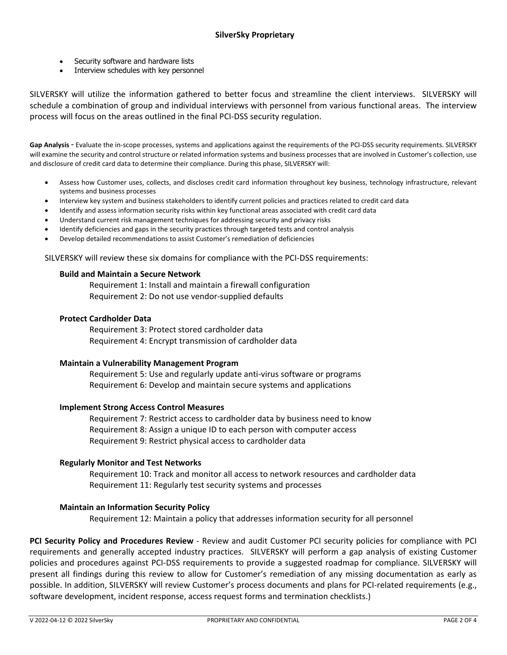- Security software and hardware lists
- Interview schedules with key personnel

SILVERSKY will utilize the information gathered to better focus and streamline the client interviews. SILVERSKY will schedule a combination of group and individual interviews with personnel from various functional areas. The interview process will focus on the areas outlined in the final PCI-DSS security regulation.

Gap Analysis - Evaluate the in-scope processes, systems and applications against the requirements of the PCI-DSS security requirements. SILVERSKY will examine the security and control structure or related information systems and business processes that are involved in Customer's collection, use and disclosure of credit card data to determine their compliance. During this phase, SILVERSKY will:

- Assess how Customer uses, collects, and discloses credit card information throughout key business, technology infrastructure, relevant systems and business processes
- Interview key system and business stakeholders to identify current policies and practices related to credit card data
- Identify and assess information security risks within key functional areas associated with credit card data
- Understand current risk management techniques for addressing security and privacy risks
- Identify deficiencies and gaps in the security practices through targeted tests and control analysis
- Develop detailed recommendations to assist Customer's remediation of deficiencies

SILVERSKY will review these six domains for compliance with the PCI-DSS requirements:

### **Build and Maintain a Secure Network**

Requirement 1: Install and maintain a firewall configuration Requirement 2: Do not use vendor-supplied defaults

### **Protect Cardholder Data**

Requirement 3: Protect stored cardholder data Requirement 4: Encrypt transmission of cardholder data

#### **Maintain a Vulnerability Management Program**

Requirement 5: Use and regularly update anti-virus software or programs Requirement 6: Develop and maintain secure systems and applications

#### **Implement Strong Access Control Measures**

Requirement 7: Restrict access to cardholder data by business need to know Requirement 8: Assign a unique ID to each person with computer access Requirement 9: Restrict physical access to cardholder data

### **Regularly Monitor and Test Networks**

Requirement 10: Track and monitor all access to network resources and cardholder data Requirement 11: Regularly test security systems and processes

## **Maintain an Information Security Policy**

Requirement 12: Maintain a policy that addresses information security for all personnel

**PCI Security Policy and Procedures Review** - Review and audit Customer PCI security policies for compliance with PCI requirements and generally accepted industry practices. SILVERSKY will perform a gap analysis of existing Customer policies and procedures against PCI-DSS requirements to provide a suggested roadmap for compliance. SILVERSKY will present all findings during this review to allow for Customer's remediation of any missing documentation as early as possible. In addition, SILVERSKY will review Customer's process documents and plans for PCI-related requirements (e.g., software development, incident response, access request forms and termination checklists.)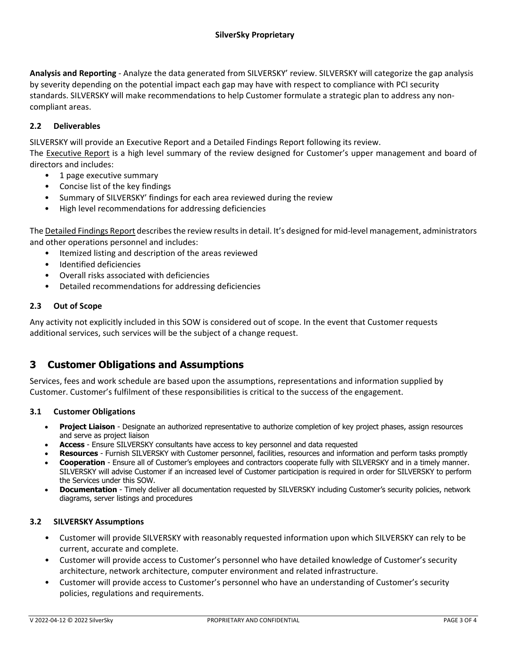**Analysis and Reporting** - Analyze the data generated from SILVERSKY' review. SILVERSKY will categorize the gap analysis by severity depending on the potential impact each gap may have with respect to compliance with PCI security standards. SILVERSKY will make recommendations to help Customer formulate a strategic plan to address any noncompliant areas.

## **2.2 Deliverables**

SILVERSKY will provide an Executive Report and a Detailed Findings Report following its review.

The Executive Report is a high level summary of the review designed for Customer's upper management and board of directors and includes:

- 1 page executive summary
- Concise list of the key findings
- Summary of SILVERSKY' findings for each area reviewed during the review
- High level recommendations for addressing deficiencies

The Detailed Findings Report describes the review results in detail. It's designed for mid-level management, administrators and other operations personnel and includes:

- Itemized listing and description of the areas reviewed
- Identified deficiencies
- Overall risks associated with deficiencies
- Detailed recommendations for addressing deficiencies

## **2.3 Out of Scope**

Any activity not explicitly included in this SOW is considered out of scope. In the event that Customer requests additional services, such services will be the subject of a change request.

# **3 Customer Obligations and Assumptions**

Services, fees and work schedule are based upon the assumptions, representations and information supplied by Customer. Customer's fulfilment of these responsibilities is critical to the success of the engagement.

## **3.1 Customer Obligations**

- **Project Liaison** Designate an authorized representative to authorize completion of key project phases, assign resources and serve as project liaison
- **Access**  Ensure SILVERSKY consultants have access to key personnel and data requested
- **Resources** Furnish SILVERSKY with Customer personnel, facilities, resources and information and perform tasks promptly
- **Cooperation** Ensure all of Customer's employees and contractors cooperate fully with SILVERSKY and in a timely manner. SILVERSKY will advise Customer if an increased level of Customer participation is required in order for SILVERSKY to perform the Services under this SOW.
- **Documentation** Timely deliver all documentation requested by SILVERSKY including Customer's security policies, network diagrams, server listings and procedures

#### **3.2 SILVERSKY Assumptions**

- Customer will provide SILVERSKY with reasonably requested information upon which SILVERSKY can rely to be current, accurate and complete.
- Customer will provide access to Customer's personnel who have detailed knowledge of Customer's security architecture, network architecture, computer environment and related infrastructure.
- Customer will provide access to Customer's personnel who have an understanding of Customer's security policies, regulations and requirements.